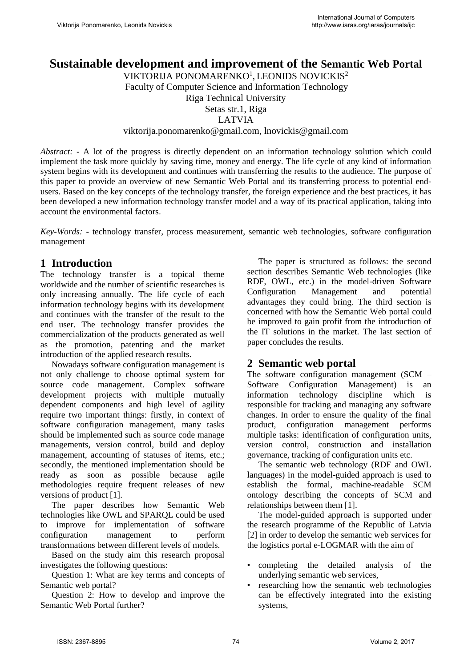# **Sustainable development and improvement of the Semantic Web Portal**

VIKTORIJA PONOMARENKO<sup>1</sup>, LEONIDS NOVICKIS<sup>2</sup> Faculty of Computer Science and Information Technology Riga Technical University Setas str.1, Riga LATVIA viktorija.ponomarenko@gmail.com, lnovickis@gmail.com

*Abstract: -* A lot of the progress is directly dependent on an information technology solution which could implement the task more quickly by saving time, money and energy. The life cycle of any kind of information system begins with its development and continues with transferring the results to the audience. The purpose of this paper to provide an overview of new Semantic Web Portal and its transferring process to potential endusers. Based on the key concepts of the technology transfer, the foreign experience and the best practices, it has been developed a new information technology transfer model and a way of its practical application, taking into account the environmental factors.

*Key-Words: -* technology transfer, process measurement, semantic web technologies, software configuration management

## **1 Introduction**

The technology transfer is a topical theme worldwide and the number of scientific researches is only increasing annually. The life cycle of each information technology begins with its development and continues with the transfer of the result to the end user. The technology transfer provides the commercialization of the products generated as well as the promotion, patenting and the market introduction of the applied research results.

Nowadays software configuration management is not only challenge to choose optimal system for source code management. Complex software development projects with multiple mutually dependent components and high level of agility require two important things: firstly, in context of software configuration management, many tasks should be implemented such as source code manage managements, version control, build and deploy management, accounting of statuses of items, etc.; secondly, the mentioned implementation should be ready as soon as possible because agile methodologies require frequent releases of new versions of product [1].

The paper describes how Semantic Web technologies like OWL and SPARQL could be used to improve for implementation of software configuration management to perform transformations between different levels of models.

Based on the study aim this research proposal investigates the following questions:

Question 1: What are key terms and concepts of Semantic web portal?

Question 2: How to develop and improve the Semantic Web Portal further?

The paper is structured as follows: the second section describes Semantic Web technologies (like RDF, OWL, etc.) in the model-driven Software Configuration Management and potential advantages they could bring. The third section is concerned with how the Semantic Web portal could be improved to gain profit from the introduction of the IT solutions in the market. The last section of paper concludes the results.

## **2 Semantic web portal**

The software configuration management (SCM – Software Configuration Management) is an information technology discipline which is responsible for tracking and managing any software changes. In order to ensure the quality of the final product, configuration management performs multiple tasks: identification of configuration units, version control, construction and installation governance, tracking of configuration units etc.

The semantic web technology (RDF and OWL languages) in the model-guided approach is used to establish the formal, machine-readable SCM ontology describing the concepts of SCM and relationships between them [1].

The model-guided approach is supported under the research programme of the Republic of Latvia [2] in order to develop the semantic web services for the logistics portal e-LOGMAR with the aim of

- completing the detailed analysis of the underlying semantic web services,
- researching how the semantic web technologies can be effectively integrated into the existing systems,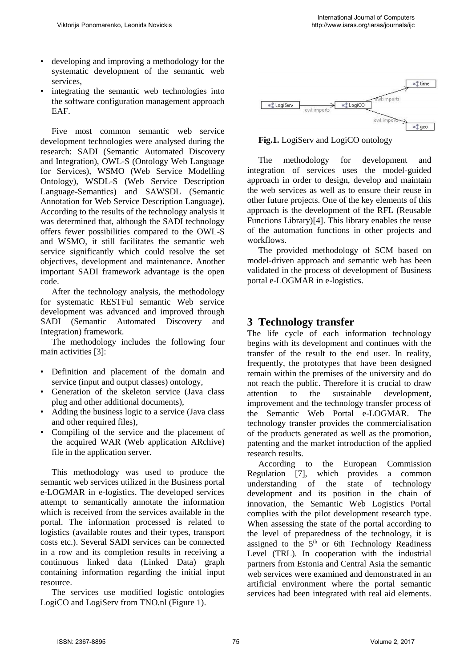- developing and improving a methodology for the systematic development of the semantic web services,
- integrating the semantic web technologies into the software configuration management approach EAF.

Five most common semantic web service development technologies were analysed during the research: SADI (Semantic Automated Discovery and Integration), OWL-S (Ontology Web Language for Services), WSMO (Web Service Modelling Ontology), WSDL-S (Web Service Description Language-Semantics) and SAWSDL (Semantic Annotation for Web Service Description Language). According to the results of the technology analysis it was determined that, although the SADI technology offers fewer possibilities compared to the OWL-S and WSMO, it still facilitates the semantic web service significantly which could resolve the set objectives, development and maintenance. Another important SADI framework advantage is the open code.

After the technology analysis, the methodology for systematic RESTFul semantic Web service development was advanced and improved through SADI (Semantic Automated Discovery and Integration) framework.

The methodology includes the following four main activities [3]:

- Definition and placement of the domain and service (input and output classes) ontology,
- Generation of the skeleton service (Java class plug and other additional documents),
- Adding the business logic to a service (Java class and other required files),
- Compiling of the service and the placement of the acquired WAR (Web application ARchive) file in the application server.

This methodology was used to produce the semantic web services utilized in the Business portal e-LOGMAR in e-logistics. The developed services attempt to semantically annotate the information which is received from the services available in the portal. The information processed is related to logistics (available routes and their types, transport costs etc.). Several SADI services can be connected in a row and its completion results in receiving a continuous linked data (Linked Data) graph containing information regarding the initial input resource.

The services use modified logistic ontologies LogiCO and LogiServ from TNO.nl (Figure 1).



**Fig.1.** LogiServ and LogiCO ontology

The methodology for development and integration of services uses the model-guided approach in order to design, develop and maintain the web services as well as to ensure their reuse in other future projects. One of the key elements of this approach is the development of the RFL (Reusable Functions Library)[4]. This library enables the reuse of the automation functions in other projects and workflows.

The provided methodology of SCM based on model-driven approach and semantic web has been validated in the process of development of Business portal e-LOGMAR in e-logistics.

### **3 Technology transfer**

The life cycle of each information technology begins with its development and continues with the transfer of the result to the end user. In reality, frequently, the prototypes that have been designed remain within the premises of the university and do not reach the public. Therefore it is crucial to draw attention to the sustainable development, improvement and the technology transfer process of the Semantic Web Portal e-LOGMAR. The technology transfer provides the commercialisation of the products generated as well as the promotion, patenting and the market introduction of the applied research results.

According to the European Commission Regulation [7], which provides a common understanding of the state of technology development and its position in the chain of innovation, the Semantic Web Logistics Portal complies with the pilot development research type. When assessing the state of the portal according to the level of preparedness of the technology, it is assigned to the  $5<sup>th</sup>$  or 6th Technology Readiness Level (TRL). In cooperation with the industrial partners from Estonia and Central Asia the semantic web services were examined and demonstrated in an artificial environment where the portal semantic services had been integrated with real aid elements.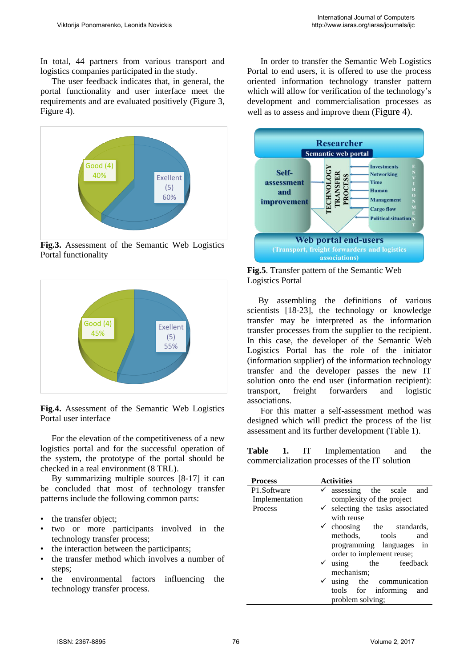In total, 44 partners from various transport and logistics companies participated in the study.

The user feedback indicates that, in general, the portal functionality and user interface meet the requirements and are evaluated positively (Figure 3, Figure 4).



**Fig.3.** Assessment of the Semantic Web Logistics Portal functionality



**Fig.4.** Assessment of the Semantic Web Logistics Portal user interface

For the elevation of the competitiveness of a new logistics portal and for the successful operation of the system, the prototype of the portal should be checked in a real environment (8 TRL).

By summarizing multiple sources [8-17] it can be concluded that most of technology transfer patterns include the following common parts:

- the transfer object;
- two or more participants involved in the technology transfer process;
- the interaction between the participants;
- the transfer method which involves a number of steps:
- the environmental factors influencing the technology transfer process.

 In order to transfer the Semantic Web Logistics Portal to end users, it is offered to use the process oriented information technology transfer pattern which will allow for verification of the technology's development and commercialisation processes as well as to assess and improve them (Figure 4).



**Fig.5**. Transfer pattern of the Semantic Web Logistics Portal

By assembling the definitions of various scientists [18-23], the technology or knowledge transfer may be interpreted as the information transfer processes from the supplier to the recipient. In this case, the developer of the Semantic Web Logistics Portal has the role of the initiator (information supplier) of the information technology transfer and the developer passes the new IT solution onto the end user (information recipient): transport, freight forwarders and logistic associations.

 For this matter a self-assessment method was designed which will predict the process of the list assessment and its further development (Table 1).

**Table 1.** IT Implementation and the commercialization processes of the IT solution

| <b>Process</b>                | <b>Activities</b>                                                                                                      |
|-------------------------------|------------------------------------------------------------------------------------------------------------------------|
| P1.Software<br>Implementation | assessing the scale<br>and<br>complexity of the project                                                                |
| Process                       | $\checkmark$ selecting the tasks associated<br>with reuse                                                              |
|                               | $\checkmark$ choosing the standards,<br>methods, tools<br>and<br>programming languages in<br>order to implement reuse; |
|                               | $\checkmark$ using<br>the feedback<br>mechanism;                                                                       |
|                               | using the communication<br>✓<br>tools for informing<br>and<br>problem solving;                                         |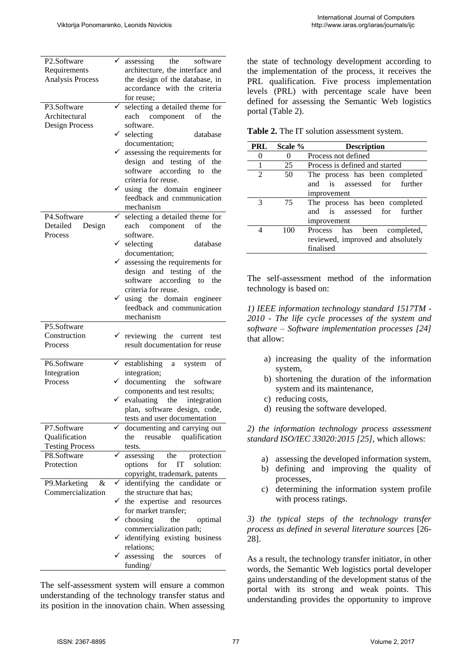| P <sub>2</sub> .Software              |              | assessing<br>the<br>software                                  |
|---------------------------------------|--------------|---------------------------------------------------------------|
| Requirements                          |              | architecture, the interface and                               |
| <b>Analysis Process</b>               |              | the design of the database, in                                |
|                                       |              | accordance with the criteria                                  |
|                                       |              | for reuse;                                                    |
| P3.Software                           | ✓            | selecting a detailed theme for                                |
| Architectural                         |              | each component of<br>the                                      |
| Design Process                        |              | software.                                                     |
|                                       | ✓            | selecting<br>database                                         |
|                                       |              | documentation;                                                |
|                                       | ✓            | assessing the requirements for                                |
|                                       |              | design and testing of the                                     |
|                                       |              | software according<br>to<br>the                               |
|                                       |              | criteria for reuse.                                           |
|                                       |              | $\checkmark$ using the domain engineer                        |
|                                       |              | feedback and communication                                    |
|                                       |              | mechanism                                                     |
| P4.Software                           | $\checkmark$ |                                                               |
| Detailed<br>Design                    |              | selecting a detailed theme for<br>each component<br>of<br>the |
| Process                               |              | software.                                                     |
|                                       |              |                                                               |
|                                       |              | $\checkmark$ selecting<br>database                            |
|                                       |              | documentation;                                                |
|                                       | ✓            | assessing the requirements for                                |
|                                       |              | design and testing<br>of the                                  |
|                                       |              | software according<br>to<br>the                               |
|                                       |              | criteria for reuse.                                           |
|                                       |              | $\checkmark$ using the domain engineer                        |
|                                       |              | feedback and communication                                    |
|                                       |              | mechanism                                                     |
| P5.Software                           |              |                                                               |
| Construction                          |              | $\checkmark$ reviewing the current test                       |
| Process                               |              | result documentation for reuse                                |
| P6.Software                           |              | $\checkmark$ establishing a system<br>οf                      |
| Integration                           |              | integration;                                                  |
| Process                               | ✓            | documenting the software                                      |
|                                       |              | components and test results;                                  |
|                                       |              | evaluating the integration                                    |
|                                       |              | plan, software design, code,                                  |
|                                       |              | tests and user documentation                                  |
| P7.Software                           |              | documenting and carrying out                                  |
| Qualification                         |              | reusable qualification<br>the                                 |
|                                       |              | tests.                                                        |
| <b>Testing Process</b><br>P8.Software |              | assessing<br>the protection                                   |
| Protection                            |              | options for IT                                                |
|                                       |              | solution:                                                     |
|                                       | ✓            | copyright, trademark, patents                                 |
| P9.Marketing<br>&                     |              | identifying the candidate or                                  |
| Commercialization                     |              | the structure that has;                                       |
|                                       | ✓            | the expertise and resources                                   |
|                                       |              | for market transfer;                                          |
|                                       |              | choosing<br>the<br>optimal                                    |
|                                       |              | commercialization path;                                       |
|                                       |              | identifying existing business                                 |
|                                       |              | relations;                                                    |
|                                       |              | assessing<br>the<br>οf<br>sources                             |
|                                       |              | funding/                                                      |
|                                       |              |                                                               |

The self-assessment system will ensure a common understanding of the technology transfer status and its position in the innovation chain. When assessing the state of technology development according to the implementation of the process, it receives the PRL qualification. Five process implementation levels (PRL) with percentage scale have been defined for assessing the Semantic Web logistics portal (Table 2).

**Table 2.** The IT solution assessment system.

| PRL                         | Scale %  | <b>Description</b>                |
|-----------------------------|----------|-----------------------------------|
| 0                           | $\Omega$ | Process not defined               |
|                             | 25       | Process is defined and started    |
| $\mathcal{D}_{\mathcal{L}}$ | 50       | The process has been completed    |
|                             |          | is assessed for<br>further<br>and |
|                             |          | improvement                       |
| 3                           | 75       | The process has been completed    |
|                             |          | and is assessed for further       |
|                             |          | improvement                       |
|                             | 100      | Process has been completed,       |
|                             |          | reviewed, improved and absolutely |
|                             |          | finalised                         |

The self-assessment method of the information technology is based on:

*1) IEEE information technology standard 1517TM - 2010 - The life cycle processes of the system and software – Software implementation processes [24]*  that allow:

- a) increasing the quality of the information system,
- b) shortening the duration of the information system and its maintenance,
- c) reducing costs,
- d) reusing the software developed.

*2) the information technology process assessment standard ISO/IEC 33020:2015 [25],* which allows:

- a) assessing the developed information system,
- b) defining and improving the quality of processes,
- c) determining the information system profile with process ratings.

*3) the typical steps of the technology transfer process as defined in several literature sources* [26- 28].

As a result, the technology transfer initiator, in other words, the Semantic Web logistics portal developer gains understanding of the development status of the portal with its strong and weak points. This understanding provides the opportunity to improve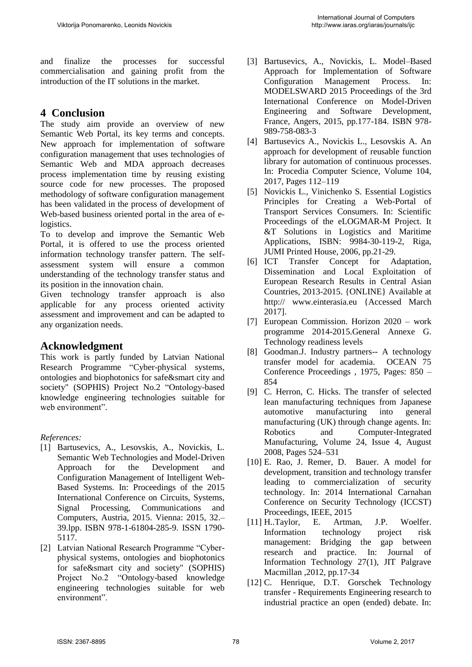and finalize the processes for successful commercialisation and gaining profit from the introduction of the IT solutions in the market.

## **4 Conclusion**

The study aim provide an overview of new Semantic Web Portal, its key terms and concepts. New approach for implementation of software configuration management that uses technologies of Semantic Web and MDA approach decreases process implementation time by reusing existing source code for new processes. The proposed methodology of software configuration management has been validated in the process of development of Web-based business oriented portal in the area of elogistics.

To to develop and improve the Semantic Web Portal, it is offered to use the process oriented information technology transfer pattern. The selfassessment system will ensure a common understanding of the technology transfer status and its position in the innovation chain.

Given technology transfer approach is also applicable for any process oriented activity assessment and improvement and can be adapted to any organization needs.

## **Acknowledgment**

This work is partly funded by Latvian National Research Programme "Cyber-physical systems, ontologies and biophotonics for safe&smart city and society" (SOPHIS) Project No.2 "Ontology-based knowledge engineering technologies suitable for web environment".

#### *References:*

- [1] Bartusevics, A., Lesovskis, A., Novickis, L. Semantic Web Technologies and Model-Driven Approach for the Development and Configuration Management of Intelligent Web-Based Systems. In: Proceedings of the 2015 International Conference on Circuits, Systems, Signal Processing, Communications and Computers, Austria, 2015. Vienna: 2015, 32.– 39.lpp. ISBN 978-1-61804-285-9. ISSN 1790- 5117.
- [2] Latvian National Research Programme "Cyberphysical systems, ontologies and biophotonics for safe&smart city and society" (SOPHIS) Project No.2 "Ontology-based knowledge engineering technologies suitable for web environment".
- [3] Bartusevics, A., Novickis, L. Model–Based Approach for Implementation of Software Configuration Management Process. In: MODELSWARD 2015 Proceedings of the 3rd International Conference on Model-Driven Engineering and Software Development, France, Angers, 2015, pp.177-184. ISBN 978- 989-758-083-3
- [4] Bartusevics A., Novickis L., Lesovskis A. An approach for development of reusable function library for automation of continuous processes. In: Procedia Computer Science, Volume 104, 2017, Pages 112–119
- [5] Novickis L., Vinichenko S. Essential Logistics Principles for Creating a Web-Portal of Transport Services Consumers. In: Scientific Proceedings of the eLOGMAR-M Project. It &T Solutions in Logistics and Maritime Applications, ISBN: 9984-30-119-2, Riga, JUMI Printed House, 2006, pp.21-29.
- [6] ICT Transfer Concept for Adaptation, Dissemination and Local Exploitation of European Research Results in Central Asian Countries, 2013-2015. {ONLINE} Available at http:// www.einterasia.eu {Accessed March 2017].
- [7] European Commission. Horizon 2020 work programme 2014-2015.General Annexe G. Technology readiness levels
- [8] Goodman.J. Industry partners-- A technology transfer model for academia. OCEAN 75 Conference Proceedings , 1975, Pages: 850 – 854
- [9] C. Herron, C. Hicks. The transfer of selected lean manufacturing techniques from Japanese automotive manufacturing into general manufacturing (UK) through change agents. In: Robotics and Computer-Integrated Manufacturing, Volume 24, Issue 4, August 2008, Pages 524–531
- [10] E. Rao, J. Remer, D. Bauer. A model for development, transition and technology transfer leading to commercialization of security technology. In: 2014 International Carnahan Conference on Security Technology (ICCST) Proceedings, IEEE, 2015
- [11] H..Taylor, E. Artman, J.P. Woelfer. Information technology project risk management: Bridging the gap between research and practice. In: Journal of Information Technology 27(1), JIT Palgrave Macmillan ,2012, pp.17-34
- [12] C. Henrique, D.T. Gorschek Technology transfer - Requirements Engineering research to industrial practice an open (ended) debate. In: